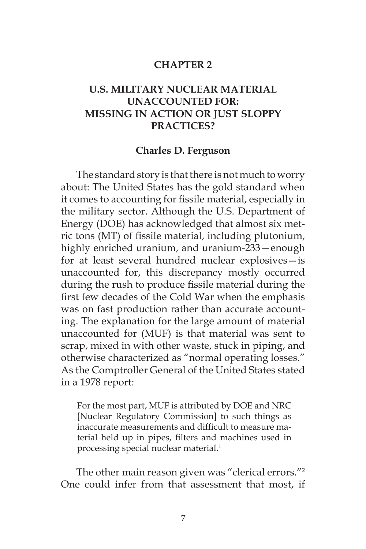#### **CHAPTER 2**

# **U.S. MILITARY NUCLEAR MATERIAL UNACCOUNTED FOR: MISSING IN ACTION OR JUST SLOPPY PRACTICES?**

#### **Charles D. Ferguson**

The standard story is that there is not much to worry about: The United States has the gold standard when it comes to accounting for fissile material, especially in the military sector. Although the U.S. Department of Energy (DOE) has acknowledged that almost six metric tons (MT) of fissile material, including plutonium, highly enriched uranium, and uranium-233—enough for at least several hundred nuclear explosives—is unaccounted for, this discrepancy mostly occurred during the rush to produce fissile material during the first few decades of the Cold War when the emphasis was on fast production rather than accurate accounting. The explanation for the large amount of material unaccounted for (MUF) is that material was sent to scrap, mixed in with other waste, stuck in piping, and otherwise characterized as "normal operating losses." As the Comptroller General of the United States stated in a 1978 report:

For the most part, MUF is attributed by DOE and NRC [Nuclear Regulatory Commission] to such things as inaccurate measurements and difficult to measure material held up in pipes, filters and machines used in processing special nuclear material.<sup>1</sup>

The other main reason given was "clerical errors."<sup>2</sup> One could infer from that assessment that most, if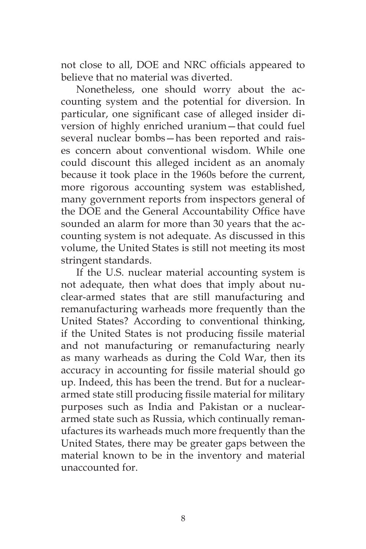not close to all, DOE and NRC officials appeared to believe that no material was diverted.

Nonetheless, one should worry about the accounting system and the potential for diversion. In particular, one significant case of alleged insider diversion of highly enriched uranium—that could fuel several nuclear bombs—has been reported and raises concern about conventional wisdom. While one could discount this alleged incident as an anomaly because it took place in the 1960s before the current, more rigorous accounting system was established, many government reports from inspectors general of the DOE and the General Accountability Office have sounded an alarm for more than 30 years that the accounting system is not adequate. As discussed in this volume, the United States is still not meeting its most stringent standards.

If the U.S. nuclear material accounting system is not adequate, then what does that imply about nuclear-armed states that are still manufacturing and remanufacturing warheads more frequently than the United States? According to conventional thinking, if the United States is not producing fissile material and not manufacturing or remanufacturing nearly as many warheads as during the Cold War, then its accuracy in accounting for fissile material should go up. Indeed, this has been the trend. But for a nucleararmed state still producing fissile material for military purposes such as India and Pakistan or a nucleararmed state such as Russia, which continually remanufactures its warheads much more frequently than the United States, there may be greater gaps between the material known to be in the inventory and material unaccounted for.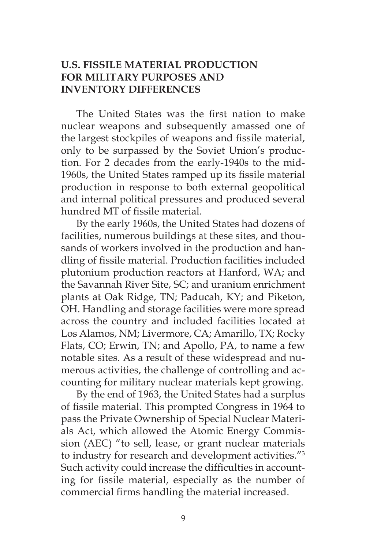### **U.S. FISSILE MATERIAL PRODUCTION FOR MILITARY PURPOSES AND INVENTORY DIFFERENCES**

The United States was the first nation to make nuclear weapons and subsequently amassed one of the largest stockpiles of weapons and fissile material, only to be surpassed by the Soviet Union's production. For 2 decades from the early-1940s to the mid-1960s, the United States ramped up its fissile material production in response to both external geopolitical and internal political pressures and produced several hundred MT of fissile material.

By the early 1960s, the United States had dozens of facilities, numerous buildings at these sites, and thousands of workers involved in the production and handling of fissile material. Production facilities included plutonium production reactors at Hanford, WA; and the Savannah River Site, SC; and uranium enrichment plants at Oak Ridge, TN; Paducah, KY; and Piketon, OH. Handling and storage facilities were more spread across the country and included facilities located at Los Alamos, NM; Livermore, CA; Amarillo, TX; Rocky Flats, CO; Erwin, TN; and Apollo, PA, to name a few notable sites. As a result of these widespread and numerous activities, the challenge of controlling and accounting for military nuclear materials kept growing.

By the end of 1963, the United States had a surplus of fissile material. This prompted Congress in 1964 to pass the Private Ownership of Special Nuclear Materials Act, which allowed the Atomic Energy Commission (AEC) "to sell, lease, or grant nuclear materials to industry for research and development activities."3 Such activity could increase the difficulties in accounting for fissile material, especially as the number of commercial firms handling the material increased.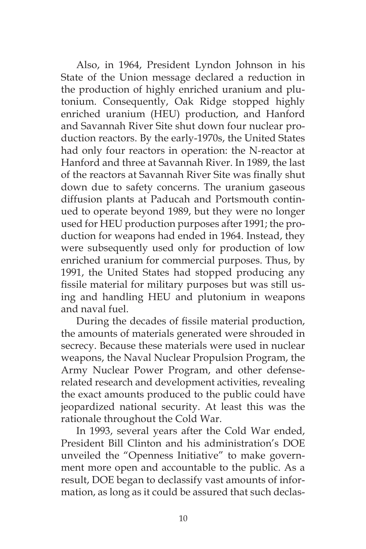Also, in 1964, President Lyndon Johnson in his State of the Union message declared a reduction in the production of highly enriched uranium and plutonium. Consequently, Oak Ridge stopped highly enriched uranium (HEU) production, and Hanford and Savannah River Site shut down four nuclear production reactors. By the early-1970s, the United States had only four reactors in operation: the N-reactor at Hanford and three at Savannah River. In 1989, the last of the reactors at Savannah River Site was finally shut down due to safety concerns. The uranium gaseous diffusion plants at Paducah and Portsmouth continued to operate beyond 1989, but they were no longer used for HEU production purposes after 1991; the production for weapons had ended in 1964. Instead, they were subsequently used only for production of low enriched uranium for commercial purposes. Thus, by 1991, the United States had stopped producing any fissile material for military purposes but was still using and handling HEU and plutonium in weapons and naval fuel.

During the decades of fissile material production, the amounts of materials generated were shrouded in secrecy. Because these materials were used in nuclear weapons, the Naval Nuclear Propulsion Program, the Army Nuclear Power Program, and other defenserelated research and development activities, revealing the exact amounts produced to the public could have jeopardized national security. At least this was the rationale throughout the Cold War.

In 1993, several years after the Cold War ended, President Bill Clinton and his administration's DOE unveiled the "Openness Initiative" to make government more open and accountable to the public. As a result, DOE began to declassify vast amounts of information, as long as it could be assured that such declas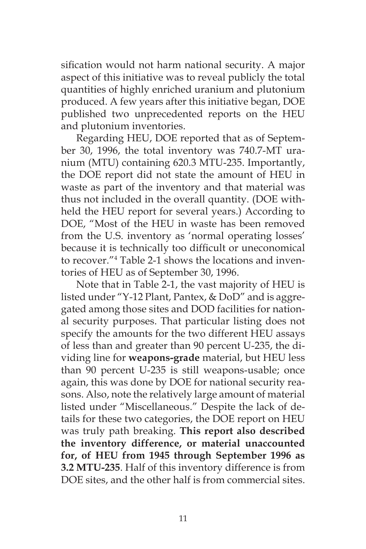sification would not harm national security. A major aspect of this initiative was to reveal publicly the total quantities of highly enriched uranium and plutonium produced. A few years after this initiative began, DOE published two unprecedented reports on the HEU and plutonium inventories.

Regarding HEU, DOE reported that as of September 30, 1996, the total inventory was 740.7-MT uranium (MTU) containing 620.3 MTU-235. Importantly, the DOE report did not state the amount of HEU in waste as part of the inventory and that material was thus not included in the overall quantity. (DOE withheld the HEU report for several years.) According to DOE, "Most of the HEU in waste has been removed from the U.S. inventory as 'normal operating losses' because it is technically too difficult or uneconomical to recover."4 Table 2-1 shows the locations and inventories of HEU as of September 30, 1996.

Note that in Table 2-1, the vast majority of HEU is listed under "Y-12 Plant, Pantex, & DoD" and is aggregated among those sites and DOD facilities for national security purposes. That particular listing does not specify the amounts for the two different HEU assays of less than and greater than 90 percent U-235, the dividing line for **weapons-grade** material, but HEU less than 90 percent U-235 is still weapons-usable; once again, this was done by DOE for national security reasons. Also, note the relatively large amount of material listed under "Miscellaneous." Despite the lack of details for these two categories, the DOE report on HEU was truly path breaking. **This report also described the inventory difference, or material unaccounted for, of HEU from 1945 through September 1996 as 3.2 MTU-235**. Half of this inventory difference is from DOE sites, and the other half is from commercial sites.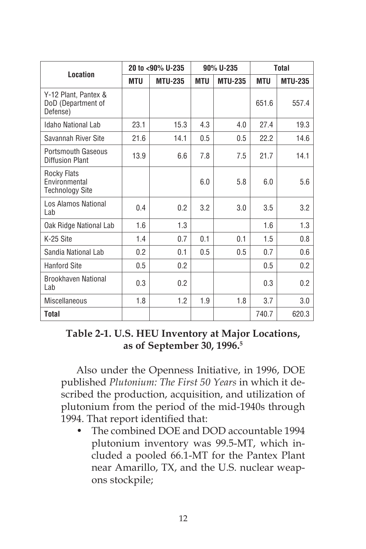| <b>Location</b>                                        | 20 to <90% U-235 |                | 90% U-235  |                | <b>Total</b> |                |
|--------------------------------------------------------|------------------|----------------|------------|----------------|--------------|----------------|
|                                                        | <b>MTU</b>       | <b>MTU-235</b> | <b>MTU</b> | <b>MTU-235</b> | <b>MTU</b>   | <b>MTU-235</b> |
| Y-12 Plant, Pantex &<br>DoD (Department of<br>Defense) |                  |                |            |                | 651.6        | 557.4          |
| Idaho National Lab                                     | 23.1             | 15.3           | 4.3        | 4.0            | 27.4         | 19.3           |
| Savannah River Site                                    | 21.6             | 14.1           | 0.5        | 0.5            | 22.2         | 14.6           |
| Portsmouth Gaseous<br><b>Diffusion Plant</b>           | 13.9             | 6.6            | 7.8        | 7.5            | 21.7         | 14.1           |
| Rocky Flats<br>Environmental<br><b>Technology Site</b> |                  |                | 6.0        | 5.8            | 6.0          | 5.6            |
| Los Alamos National<br>Lab                             | 0.4              | 0.2            | 3.2        | 3.0            | 3.5          | 3.2            |
| Oak Ridge National Lab                                 | 1.6              | 1.3            |            |                | 1.6          | 1.3            |
| K-25 Site                                              | 1.4              | 0.7            | 0.1        | 0.1            | 1.5          | 0.8            |
| Sandia National Lab                                    | 0.2              | 0.1            | 0.5        | 0.5            | 0.7          | 0.6            |
| <b>Hanford Site</b>                                    | 0.5              | 0.2            |            |                | 0.5          | 0.2            |
| <b>Brookhaven National</b><br>Lab                      | 0.3              | 0.2            |            |                | 0.3          | 0.2            |
| <b>Miscellaneous</b>                                   | 1.8              | 1.2            | 1.9        | 1.8            | 3.7          | $3.0\,$        |
| Total                                                  |                  |                |            |                | 740.7        | 620.3          |

### **Table 2-1. U.S. HEU Inventory at Major Locations, as of September 30, 1996.5**

Also under the Openness Initiative, in 1996, DOE published *Plutonium: The First 50 Years* in which it described the production, acquisition, and utilization of plutonium from the period of the mid-1940s through 1994. That report identified that:

• The combined DOE and DOD accountable 1994 plutonium inventory was 99.5-MT, which included a pooled 66.1-MT for the Pantex Plant near Amarillo, TX, and the U.S. nuclear weapons stockpile;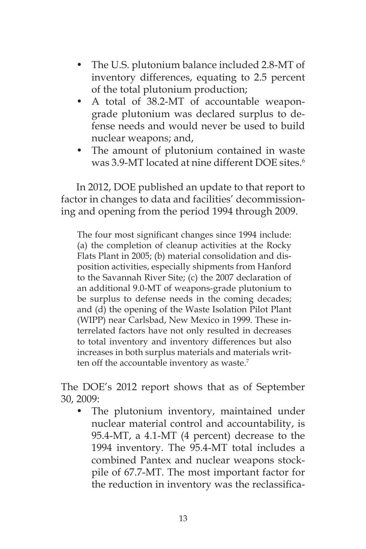- The U.S. plutonium balance included 2.8-MT of inventory differences, equating to 2.5 percent of the total plutonium production;
- A total of 38.2-MT of accountable weapongrade plutonium was declared surplus to defense needs and would never be used to build nuclear weapons; and,
- The amount of plutonium contained in waste was 3.9-MT located at nine different DOE sites.<sup>6</sup>

In 2012, DOE published an update to that report to factor in changes to data and facilities' decommissioning and opening from the period 1994 through 2009.

The four most significant changes since 1994 include: (a) the completion of cleanup activities at the Rocky Flats Plant in 2005; (b) material consolidation and disposition activities, especially shipments from Hanford to the Savannah River Site; (c) the 2007 declaration of an additional 9.0-MT of weapons-grade plutonium to be surplus to defense needs in the coming decades; and (d) the opening of the Waste Isolation Pilot Plant (WIPP) near Carlsbad, New Mexico in 1999. These interrelated factors have not only resulted in decreases to total inventory and inventory differences but also increases in both surplus materials and materials written off the accountable inventory as waste.<sup>7</sup>

The DOE's 2012 report shows that as of September 30, 2009:

The plutonium inventory, maintained under nuclear material control and accountability, is 95.4-MT, a 4.1-MT (4 percent) decrease to the 1994 inventory. The 95.4-MT total includes a combined Pantex and nuclear weapons stockpile of 67.7-MT. The most important factor for the reduction in inventory was the reclassifica-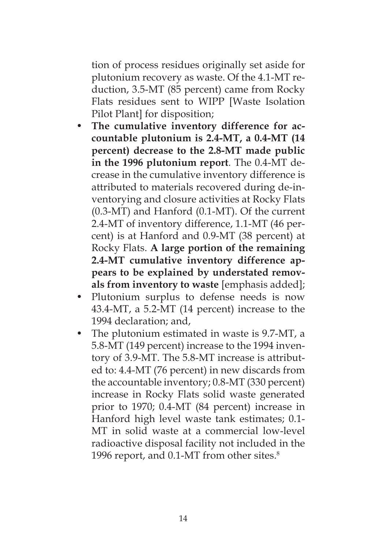tion of process residues originally set aside for plutonium recovery as waste. Of the 4.1-MT reduction, 3.5-MT (85 percent) came from Rocky Flats residues sent to WIPP [Waste Isolation Pilot Plant] for disposition;

- The cumulative inventory difference for ac**countable plutonium is 2.4-MT, a 0.4-MT (14 percent) decrease to the 2.8-MT made public in the 1996 plutonium report***.* The 0.4-MT decrease in the cumulative inventory difference is attributed to materials recovered during de-inventorying and closure activities at Rocky Flats (0.3-MT) and Hanford (0.1-MT). Of the current 2.4-MT of inventory difference, 1.1-MT (46 percent) is at Hanford and 0.9-MT (38 percent) at Rocky Flats. **A large portion of the remaining 2.4-MT cumulative inventory difference appears to be explained by understated removals from inventory to waste** [emphasis added];
- Plutonium surplus to defense needs is now 43.4-MT, a 5.2-MT (14 percent) increase to the 1994 declaration; and,
- The plutonium estimated in waste is 9.7-MT, a 5.8-MT (149 percent) increase to the 1994 inventory of 3.9-MT. The 5.8-MT increase is attributed to: 4.4-MT (76 percent) in new discards from the accountable inventory; 0.8-MT (330 percent) increase in Rocky Flats solid waste generated prior to 1970; 0.4-MT (84 percent) increase in Hanford high level waste tank estimates; 0.1- MT in solid waste at a commercial low-level radioactive disposal facility not included in the 1996 report, and 0.1-MT from other sites.<sup>8</sup>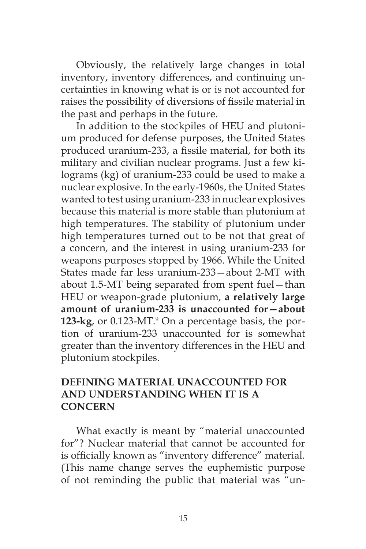Obviously, the relatively large changes in total inventory, inventory differences, and continuing uncertainties in knowing what is or is not accounted for raises the possibility of diversions of fissile material in the past and perhaps in the future.

In addition to the stockpiles of HEU and plutonium produced for defense purposes, the United States produced uranium-233, a fissile material, for both its military and civilian nuclear programs. Just a few kilograms (kg) of uranium-233 could be used to make a nuclear explosive. In the early-1960s, the United States wanted to test using uranium-233 in nuclear explosives because this material is more stable than plutonium at high temperatures. The stability of plutonium under high temperatures turned out to be not that great of a concern, and the interest in using uranium-233 for weapons purposes stopped by 1966. While the United States made far less uranium-233—about 2-MT with about 1.5-MT being separated from spent fuel—than HEU or weapon-grade plutonium, **a relatively large amount of uranium-233 is unaccounted for—about 123-kg**, or 0.123-MT.<sup>9</sup> On a percentage basis, the portion of uranium-233 unaccounted for is somewhat greater than the inventory differences in the HEU and plutonium stockpiles.

## **DEFINING MATERIAL UNACCOUNTED FOR AND UNDERSTANDING WHEN IT IS A CONCERN**

What exactly is meant by "material unaccounted for"? Nuclear material that cannot be accounted for is officially known as "inventory difference" material. (This name change serves the euphemistic purpose of not reminding the public that material was "un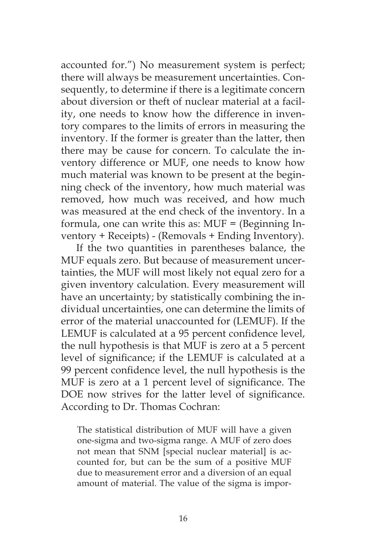accounted for.") No measurement system is perfect; there will always be measurement uncertainties. Consequently, to determine if there is a legitimate concern about diversion or theft of nuclear material at a facility, one needs to know how the difference in inventory compares to the limits of errors in measuring the inventory. If the former is greater than the latter, then there may be cause for concern. To calculate the inventory difference or MUF, one needs to know how much material was known to be present at the beginning check of the inventory, how much material was removed, how much was received, and how much was measured at the end check of the inventory. In a formula, one can write this as: MUF = (Beginning Inventory + Receipts) - (Removals + Ending Inventory).

If the two quantities in parentheses balance, the MUF equals zero. But because of measurement uncertainties, the MUF will most likely not equal zero for a given inventory calculation. Every measurement will have an uncertainty; by statistically combining the individual uncertainties, one can determine the limits of error of the material unaccounted for (LEMUF). If the LEMUF is calculated at a 95 percent confidence level, the null hypothesis is that MUF is zero at a 5 percent level of significance; if the LEMUF is calculated at a 99 percent confidence level, the null hypothesis is the MUF is zero at a 1 percent level of significance. The DOE now strives for the latter level of significance. According to Dr. Thomas Cochran:

The statistical distribution of MUF will have a given one-sigma and two-sigma range. A MUF of zero does not mean that SNM [special nuclear material] is accounted for, but can be the sum of a positive MUF due to measurement error and a diversion of an equal amount of material. The value of the sigma is impor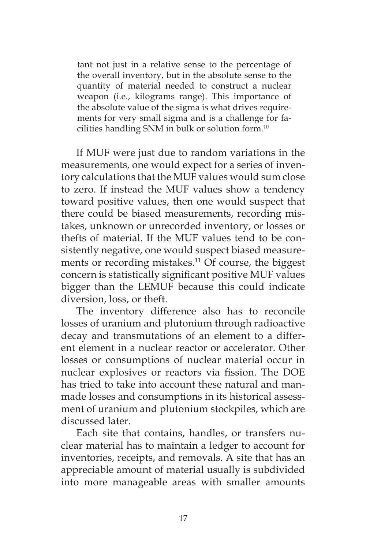tant not just in a relative sense to the percentage of the overall inventory, but in the absolute sense to the quantity of material needed to construct a nuclear weapon (i.e., kilograms range). This importance of the absolute value of the sigma is what drives requirements for very small sigma and is a challenge for facilities handling SNM in bulk or solution form.10

If MUF were just due to random variations in the measurements, one would expect for a series of inventory calculations that the MUF values would sum close to zero. If instead the MUF values show a tendency toward positive values, then one would suspect that there could be biased measurements, recording mistakes, unknown or unrecorded inventory, or losses or thefts of material. If the MUF values tend to be consistently negative, one would suspect biased measurements or recording mistakes.<sup>11</sup> Of course, the biggest concern is statistically significant positive MUF values bigger than the LEMUF because this could indicate diversion, loss, or theft.

The inventory difference also has to reconcile losses of uranium and plutonium through radioactive decay and transmutations of an element to a different element in a nuclear reactor or accelerator. Other losses or consumptions of nuclear material occur in nuclear explosives or reactors via fission. The DOE has tried to take into account these natural and manmade losses and consumptions in its historical assessment of uranium and plutonium stockpiles, which are discussed later.

Each site that contains, handles, or transfers nuclear material has to maintain a ledger to account for inventories, receipts, and removals. A site that has an appreciable amount of material usually is subdivided into more manageable areas with smaller amounts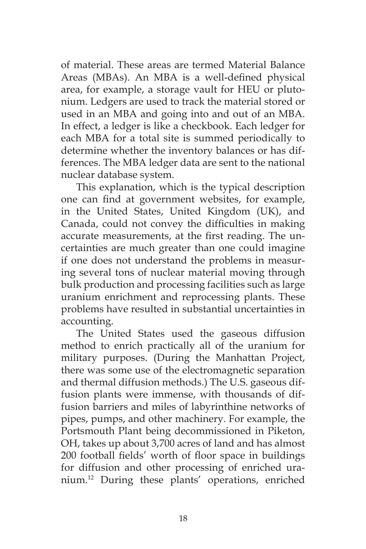of material. These areas are termed Material Balance Areas (MBAs). An MBA is a well-defined physical area, for example, a storage vault for HEU or plutonium. Ledgers are used to track the material stored or used in an MBA and going into and out of an MBA. In effect, a ledger is like a checkbook. Each ledger for each MBA for a total site is summed periodically to determine whether the inventory balances or has differences. The MBA ledger data are sent to the national nuclear database system.

This explanation, which is the typical description one can find at government websites, for example, in the United States, United Kingdom (UK), and Canada, could not convey the difficulties in making accurate measurements, at the first reading. The uncertainties are much greater than one could imagine if one does not understand the problems in measuring several tons of nuclear material moving through bulk production and processing facilities such as large uranium enrichment and reprocessing plants. These problems have resulted in substantial uncertainties in accounting.

The United States used the gaseous diffusion method to enrich practically all of the uranium for military purposes. (During the Manhattan Project, there was some use of the electromagnetic separation and thermal diffusion methods.) The U.S. gaseous diffusion plants were immense, with thousands of diffusion barriers and miles of labyrinthine networks of pipes, pumps, and other machinery. For example, the Portsmouth Plant being decommissioned in Piketon, OH, takes up about 3,700 acres of land and has almost 200 football fields' worth of floor space in buildings for diffusion and other processing of enriched uranium.12 During these plants' operations, enriched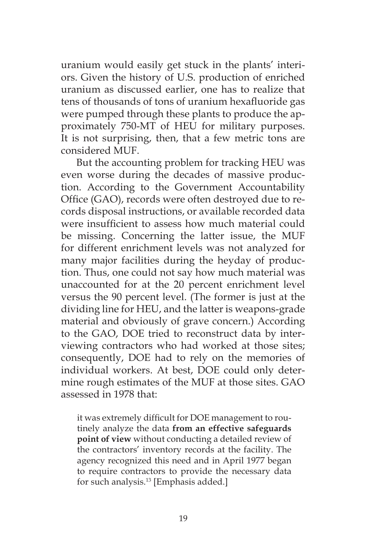uranium would easily get stuck in the plants' interiors. Given the history of U.S. production of enriched uranium as discussed earlier, one has to realize that tens of thousands of tons of uranium hexafluoride gas were pumped through these plants to produce the approximately 750-MT of HEU for military purposes. It is not surprising, then, that a few metric tons are considered MUF.

But the accounting problem for tracking HEU was even worse during the decades of massive production. According to the Government Accountability Office (GAO), records were often destroyed due to records disposal instructions, or available recorded data were insufficient to assess how much material could be missing. Concerning the latter issue, the MUF for different enrichment levels was not analyzed for many major facilities during the heyday of production. Thus, one could not say how much material was unaccounted for at the 20 percent enrichment level versus the 90 percent level. (The former is just at the dividing line for HEU, and the latter is weapons-grade material and obviously of grave concern.) According to the GAO, DOE tried to reconstruct data by interviewing contractors who had worked at those sites; consequently, DOE had to rely on the memories of individual workers. At best, DOE could only determine rough estimates of the MUF at those sites. GAO assessed in 1978 that:

it was extremely difficult for DOE management to routinely analyze the data **from an effective safeguards point of view** without conducting a detailed review of the contractors' inventory records at the facility. The agency recognized this need and in April 1977 began to require contractors to provide the necessary data for such analysis.13 [Emphasis added.]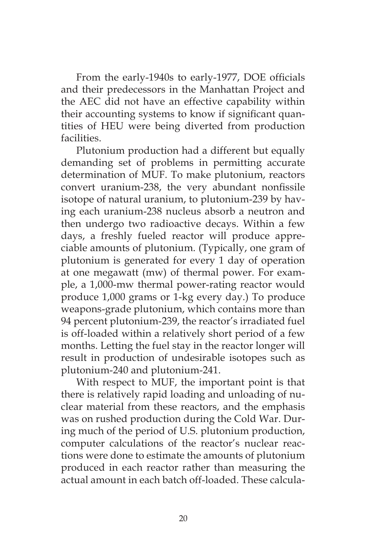From the early-1940s to early-1977, DOE officials and their predecessors in the Manhattan Project and the AEC did not have an effective capability within their accounting systems to know if significant quantities of HEU were being diverted from production facilities.

Plutonium production had a different but equally demanding set of problems in permitting accurate determination of MUF. To make plutonium, reactors convert uranium-238, the very abundant nonfissile isotope of natural uranium, to plutonium-239 by having each uranium-238 nucleus absorb a neutron and then undergo two radioactive decays. Within a few days, a freshly fueled reactor will produce appreciable amounts of plutonium. (Typically, one gram of plutonium is generated for every 1 day of operation at one megawatt (mw) of thermal power. For example, a 1,000-mw thermal power-rating reactor would produce 1,000 grams or 1-kg every day.) To produce weapons-grade plutonium, which contains more than 94 percent plutonium-239, the reactor's irradiated fuel is off-loaded within a relatively short period of a few months. Letting the fuel stay in the reactor longer will result in production of undesirable isotopes such as plutonium-240 and plutonium-241.

With respect to MUF, the important point is that there is relatively rapid loading and unloading of nuclear material from these reactors, and the emphasis was on rushed production during the Cold War. During much of the period of U.S. plutonium production, computer calculations of the reactor's nuclear reactions were done to estimate the amounts of plutonium produced in each reactor rather than measuring the actual amount in each batch off-loaded. These calcula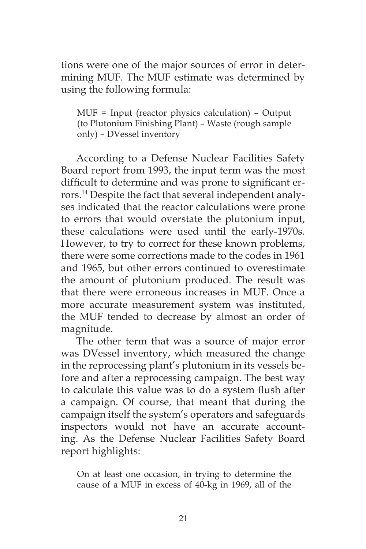tions were one of the major sources of error in determining MUF. The MUF estimate was determined by using the following formula:

MUF = Input (reactor physics calculation) – Output (to Plutonium Finishing Plant) – Waste (rough sample only) – DVessel inventory

According to a Defense Nuclear Facilities Safety Board report from 1993, the input term was the most difficult to determine and was prone to significant errors.14 Despite the fact that several independent analyses indicated that the reactor calculations were prone to errors that would overstate the plutonium input, these calculations were used until the early-1970s. However, to try to correct for these known problems, there were some corrections made to the codes in 1961 and 1965, but other errors continued to overestimate the amount of plutonium produced. The result was that there were erroneous increases in MUF. Once a more accurate measurement system was instituted, the MUF tended to decrease by almost an order of magnitude.

The other term that was a source of major error was DVessel inventory, which measured the change in the reprocessing plant's plutonium in its vessels before and after a reprocessing campaign. The best way to calculate this value was to do a system flush after a campaign. Of course, that meant that during the campaign itself the system's operators and safeguards inspectors would not have an accurate accounting. As the Defense Nuclear Facilities Safety Board report highlights:

On at least one occasion, in trying to determine the cause of a MUF in excess of 40-kg in 1969, all of the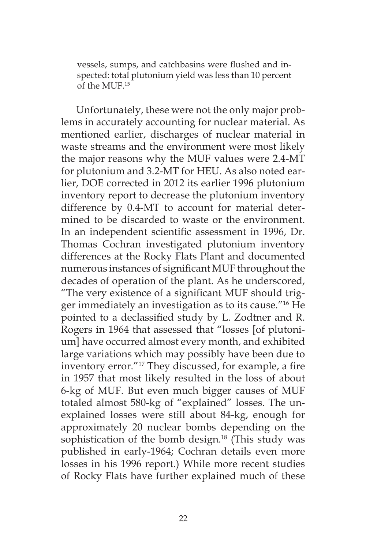vessels, sumps, and catchbasins were flushed and inspected: total plutonium yield was less than 10 percent of the MUF.15

Unfortunately, these were not the only major problems in accurately accounting for nuclear material. As mentioned earlier, discharges of nuclear material in waste streams and the environment were most likely the major reasons why the MUF values were 2.4-MT for plutonium and 3.2-MT for HEU. As also noted earlier, DOE corrected in 2012 its earlier 1996 plutonium inventory report to decrease the plutonium inventory difference by 0.4-MT to account for material determined to be discarded to waste or the environment. In an independent scientific assessment in 1996, Dr. Thomas Cochran investigated plutonium inventory differences at the Rocky Flats Plant and documented numerous instances of significant MUF throughout the decades of operation of the plant. As he underscored, "The very existence of a significant MUF should trigger immediately an investigation as to its cause."16 He pointed to a declassified study by L. Zodtner and R. Rogers in 1964 that assessed that "losses [of plutonium] have occurred almost every month, and exhibited large variations which may possibly have been due to inventory error."17 They discussed, for example, a fire in 1957 that most likely resulted in the loss of about 6-kg of MUF. But even much bigger causes of MUF totaled almost 580-kg of "explained" losses. The unexplained losses were still about 84-kg, enough for approximately 20 nuclear bombs depending on the sophistication of the bomb design.<sup>18</sup> (This study was published in early-1964; Cochran details even more losses in his 1996 report.) While more recent studies of Rocky Flats have further explained much of these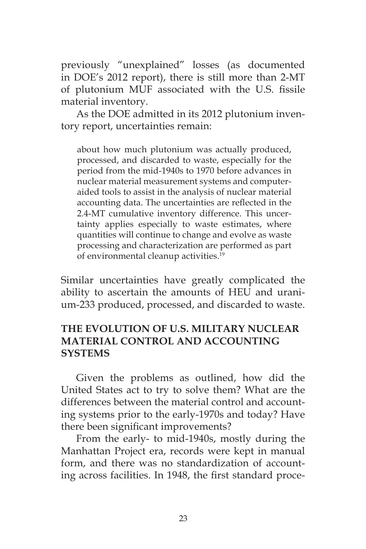previously "unexplained" losses (as documented in DOE's 2012 report), there is still more than 2-MT of plutonium MUF associated with the U.S. fissile material inventory.

As the DOE admitted in its 2012 plutonium inventory report, uncertainties remain:

about how much plutonium was actually produced, processed, and discarded to waste, especially for the period from the mid-1940s to 1970 before advances in nuclear material measurement systems and computeraided tools to assist in the analysis of nuclear material accounting data. The uncertainties are reflected in the 2.4-MT cumulative inventory difference. This uncertainty applies especially to waste estimates, where quantities will continue to change and evolve as waste processing and characterization are performed as part of environmental cleanup activities.19

Similar uncertainties have greatly complicated the ability to ascertain the amounts of HEU and uranium-233 produced, processed, and discarded to waste.

# **THE EVOLUTION OF U.S. MILITARY NUCLEAR MATERIAL CONTROL AND ACCOUNTING SYSTEMS**

Given the problems as outlined, how did the United States act to try to solve them? What are the differences between the material control and accounting systems prior to the early-1970s and today? Have there been significant improvements?

From the early- to mid-1940s, mostly during the Manhattan Project era, records were kept in manual form, and there was no standardization of accounting across facilities. In 1948, the first standard proce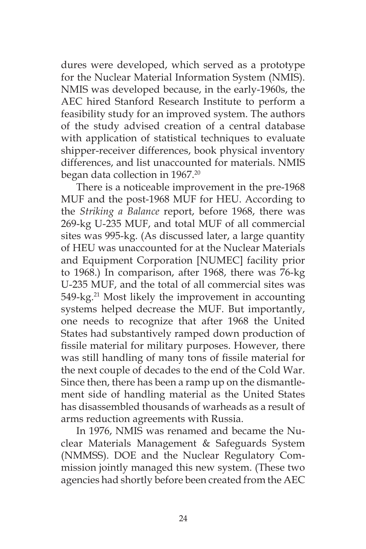dures were developed, which served as a prototype for the Nuclear Material Information System (NMIS). NMIS was developed because, in the early-1960s, the AEC hired Stanford Research Institute to perform a feasibility study for an improved system. The authors of the study advised creation of a central database with application of statistical techniques to evaluate shipper-receiver differences, book physical inventory differences, and list unaccounted for materials. NMIS began data collection in 1967.<sup>20</sup>

There is a noticeable improvement in the pre-1968 MUF and the post-1968 MUF for HEU. According to the *Striking a Balance* report, before 1968, there was 269-kg U-235 MUF, and total MUF of all commercial sites was 995-kg. (As discussed later, a large quantity of HEU was unaccounted for at the Nuclear Materials and Equipment Corporation [NUMEC] facility prior to 1968.) In comparison, after 1968, there was 76-kg U-235 MUF, and the total of all commercial sites was 549-kg.<sup>21</sup> Most likely the improvement in accounting systems helped decrease the MUF. But importantly, one needs to recognize that after 1968 the United States had substantively ramped down production of fissile material for military purposes. However, there was still handling of many tons of fissile material for the next couple of decades to the end of the Cold War. Since then, there has been a ramp up on the dismantlement side of handling material as the United States has disassembled thousands of warheads as a result of arms reduction agreements with Russia.

In 1976, NMIS was renamed and became the Nuclear Materials Management & Safeguards System (NMMSS). DOE and the Nuclear Regulatory Commission jointly managed this new system. (These two agencies had shortly before been created from the AEC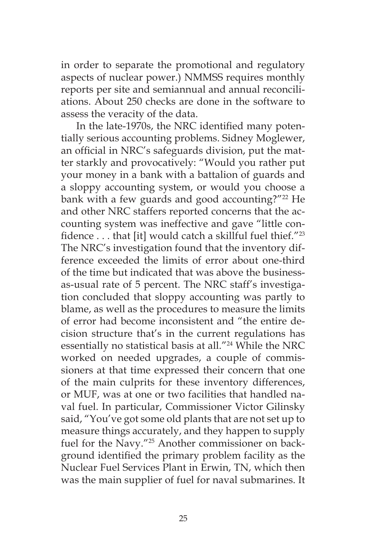in order to separate the promotional and regulatory aspects of nuclear power.) NMMSS requires monthly reports per site and semiannual and annual reconciliations. About 250 checks are done in the software to assess the veracity of the data.

In the late-1970s, the NRC identified many potentially serious accounting problems. Sidney Moglewer, an official in NRC's safeguards division, put the matter starkly and provocatively: "Would you rather put your money in a bank with a battalion of guards and a sloppy accounting system, or would you choose a bank with a few guards and good accounting?"<sup>22</sup> He and other NRC staffers reported concerns that the accounting system was ineffective and gave "little confidence . . . that [it] would catch a skillful fuel thief."<sup>23</sup> The NRC's investigation found that the inventory difference exceeded the limits of error about one-third of the time but indicated that was above the businessas-usual rate of 5 percent. The NRC staff's investigation concluded that sloppy accounting was partly to blame, as well as the procedures to measure the limits of error had become inconsistent and "the entire decision structure that's in the current regulations has essentially no statistical basis at all."<sup>24</sup> While the NRC worked on needed upgrades, a couple of commissioners at that time expressed their concern that one of the main culprits for these inventory differences, or MUF, was at one or two facilities that handled naval fuel. In particular, Commissioner Victor Gilinsky said, "You've got some old plants that are not set up to measure things accurately, and they happen to supply fuel for the Navy."<sup>25</sup> Another commissioner on background identified the primary problem facility as the Nuclear Fuel Services Plant in Erwin, TN, which then was the main supplier of fuel for naval submarines. It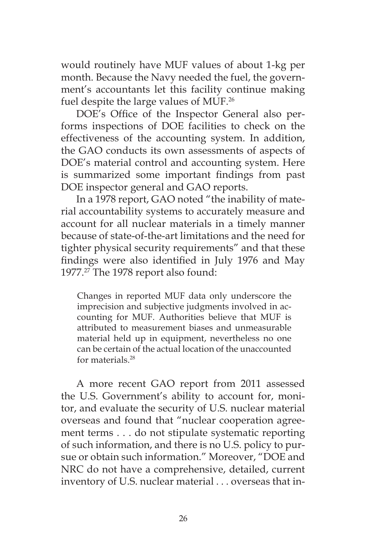would routinely have MUF values of about 1-kg per month. Because the Navy needed the fuel, the government's accountants let this facility continue making fuel despite the large values of MUF.26

DOE's Office of the Inspector General also performs inspections of DOE facilities to check on the effectiveness of the accounting system. In addition, the GAO conducts its own assessments of aspects of DOE's material control and accounting system. Here is summarized some important findings from past DOE inspector general and GAO reports.

In a 1978 report, GAO noted "the inability of material accountability systems to accurately measure and account for all nuclear materials in a timely manner because of state-of-the-art limitations and the need for tighter physical security requirements" and that these findings were also identified in July 1976 and May 1977.<sup>27</sup> The 1978 report also found:

Changes in reported MUF data only underscore the imprecision and subjective judgments involved in accounting for MUF. Authorities believe that MUF is attributed to measurement biases and unmeasurable material held up in equipment, nevertheless no one can be certain of the actual location of the unaccounted for materials.28

A more recent GAO report from 2011 assessed the U.S. Government's ability to account for, monitor, and evaluate the security of U.S. nuclear material overseas and found that "nuclear cooperation agreement terms . . . do not stipulate systematic reporting of such information, and there is no U.S. policy to pursue or obtain such information." Moreover, "DOE and NRC do not have a comprehensive, detailed, current inventory of U.S. nuclear material . . . overseas that in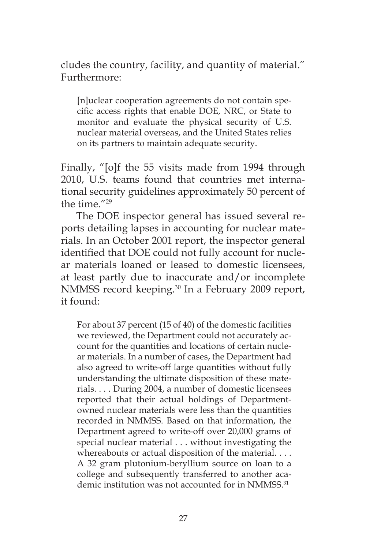cludes the country, facility, and quantity of material." Furthermore:

[n]uclear cooperation agreements do not contain specific access rights that enable DOE, NRC, or State to monitor and evaluate the physical security of U.S. nuclear material overseas, and the United States relies on its partners to maintain adequate security.

Finally, "[o]f the 55 visits made from 1994 through 2010, U.S. teams found that countries met international security guidelines approximately 50 percent of the time."29

The DOE inspector general has issued several reports detailing lapses in accounting for nuclear materials. In an October 2001 report, the inspector general identified that DOE could not fully account for nuclear materials loaned or leased to domestic licensees, at least partly due to inaccurate and/or incomplete NMMSS record keeping.<sup>30</sup> In a February 2009 report, it found:

For about 37 percent (15 of 40) of the domestic facilities we reviewed, the Department could not accurately account for the quantities and locations of certain nuclear materials. In a number of cases, the Department had also agreed to write-off large quantities without fully understanding the ultimate disposition of these materials. . . . During 2004, a number of domestic licensees reported that their actual holdings of Departmentowned nuclear materials were less than the quantities recorded in NMMSS. Based on that information, the Department agreed to write-off over 20,000 grams of special nuclear material . . . without investigating the whereabouts or actual disposition of the material. . . . A 32 gram plutonium-beryllium source on loan to a college and subsequently transferred to another academic institution was not accounted for in NMMSS.<sup>31</sup>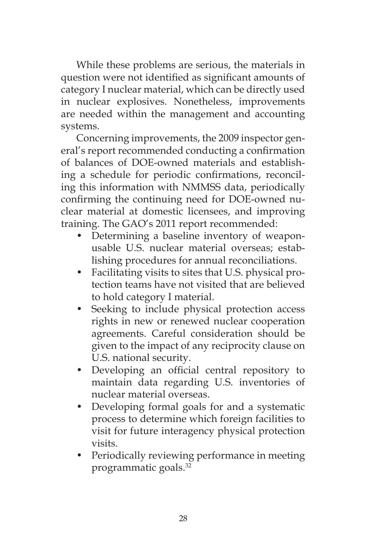While these problems are serious, the materials in question were not identified as significant amounts of category I nuclear material, which can be directly used in nuclear explosives. Nonetheless, improvements are needed within the management and accounting systems.

Concerning improvements, the 2009 inspector general's report recommended conducting a confirmation of balances of DOE-owned materials and establishing a schedule for periodic confirmations, reconciling this information with NMMSS data, periodically confirming the continuing need for DOE-owned nuclear material at domestic licensees, and improving training. The GAO's 2011 report recommended:

- Determining a baseline inventory of weaponusable U.S. nuclear material overseas; establishing procedures for annual reconciliations.
- Facilitating visits to sites that U.S. physical protection teams have not visited that are believed to hold category I material.
- Seeking to include physical protection access rights in new or renewed nuclear cooperation agreements. Careful consideration should be given to the impact of any reciprocity clause on U.S. national security.
- Developing an official central repository to maintain data regarding U.S. inventories of nuclear material overseas.
- Developing formal goals for and a systematic process to determine which foreign facilities to visit for future interagency physical protection visits.
- Periodically reviewing performance in meeting programmatic goals.32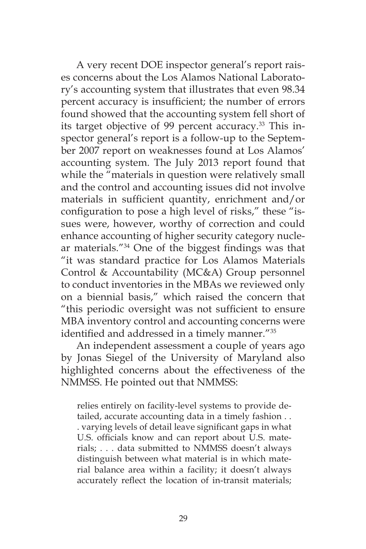A very recent DOE inspector general's report raises concerns about the Los Alamos National Laboratory's accounting system that illustrates that even 98.34 percent accuracy is insufficient; the number of errors found showed that the accounting system fell short of its target objective of 99 percent accuracy.<sup>33</sup> This inspector general's report is a follow-up to the September 2007 report on weaknesses found at Los Alamos' accounting system. The July 2013 report found that while the "materials in question were relatively small and the control and accounting issues did not involve materials in sufficient quantity, enrichment and/or configuration to pose a high level of risks," these "issues were, however, worthy of correction and could enhance accounting of higher security category nuclear materials."34 One of the biggest findings was that "it was standard practice for Los Alamos Materials Control & Accountability (MC&A) Group personnel to conduct inventories in the MBAs we reviewed only on a biennial basis," which raised the concern that "this periodic oversight was not sufficient to ensure MBA inventory control and accounting concerns were identified and addressed in a timely manner."<sup>35</sup>

An independent assessment a couple of years ago by Jonas Siegel of the University of Maryland also highlighted concerns about the effectiveness of the NMMSS. He pointed out that NMMSS:

relies entirely on facility-level systems to provide detailed, accurate accounting data in a timely fashion . . . varying levels of detail leave significant gaps in what U.S. officials know and can report about U.S. materials; . . . data submitted to NMMSS doesn't always distinguish between what material is in which material balance area within a facility; it doesn't always accurately reflect the location of in-transit materials;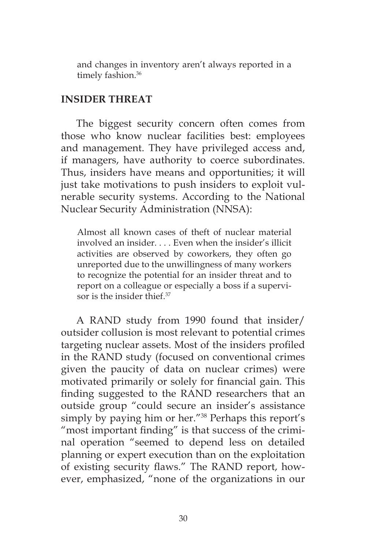and changes in inventory aren't always reported in a timely fashion.<sup>36</sup>

### **INSIDER THREAT**

The biggest security concern often comes from those who know nuclear facilities best: employees and management. They have privileged access and, if managers, have authority to coerce subordinates. Thus, insiders have means and opportunities; it will just take motivations to push insiders to exploit vulnerable security systems. According to the National Nuclear Security Administration (NNSA):

Almost all known cases of theft of nuclear material involved an insider. . . . Even when the insider's illicit activities are observed by coworkers, they often go unreported due to the unwillingness of many workers to recognize the potential for an insider threat and to report on a colleague or especially a boss if a supervisor is the insider thief.<sup>37</sup>

A RAND study from 1990 found that insider/ outsider collusion is most relevant to potential crimes targeting nuclear assets. Most of the insiders profiled in the RAND study (focused on conventional crimes given the paucity of data on nuclear crimes) were motivated primarily or solely for financial gain. This finding suggested to the RAND researchers that an outside group "could secure an insider's assistance simply by paying him or her."38 Perhaps this report's "most important finding" is that success of the criminal operation "seemed to depend less on detailed planning or expert execution than on the exploitation of existing security flaws." The RAND report, however, emphasized, "none of the organizations in our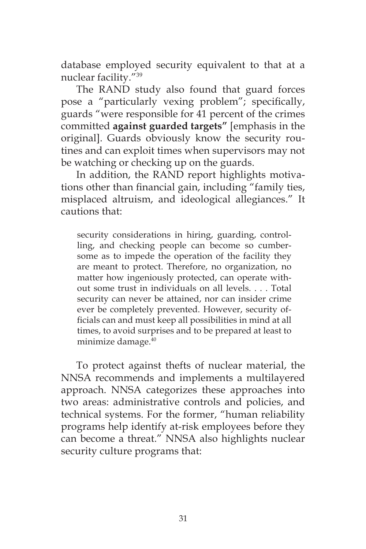database employed security equivalent to that at a nuclear facility."39

The RAND study also found that guard forces pose a "particularly vexing problem"; specifically, guards "were responsible for 41 percent of the crimes committed **against guarded targets"** [emphasis in the original]. Guards obviously know the security routines and can exploit times when supervisors may not be watching or checking up on the guards.

In addition, the RAND report highlights motivations other than financial gain, including "family ties, misplaced altruism, and ideological allegiances." It cautions that:

security considerations in hiring, guarding, controlling, and checking people can become so cumbersome as to impede the operation of the facility they are meant to protect. Therefore, no organization, no matter how ingeniously protected, can operate without some trust in individuals on all levels. . . . Total security can never be attained, nor can insider crime ever be completely prevented. However, security officials can and must keep all possibilities in mind at all times, to avoid surprises and to be prepared at least to minimize damage.40

To protect against thefts of nuclear material, the NNSA recommends and implements a multilayered approach. NNSA categorizes these approaches into two areas: administrative controls and policies, and technical systems. For the former, "human reliability programs help identify at-risk employees before they can become a threat." NNSA also highlights nuclear security culture programs that: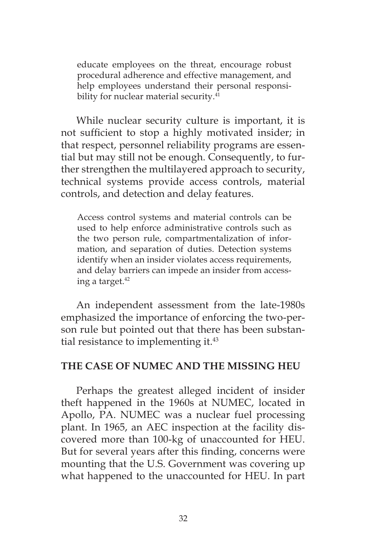educate employees on the threat, encourage robust procedural adherence and effective management, and help employees understand their personal responsibility for nuclear material security.<sup>41</sup>

While nuclear security culture is important, it is not sufficient to stop a highly motivated insider; in that respect, personnel reliability programs are essential but may still not be enough. Consequently, to further strengthen the multilayered approach to security, technical systems provide access controls, material controls, and detection and delay features.

Access control systems and material controls can be used to help enforce administrative controls such as the two person rule, compartmentalization of information, and separation of duties. Detection systems identify when an insider violates access requirements, and delay barriers can impede an insider from accessing a target.<sup>42</sup>

An independent assessment from the late-1980s emphasized the importance of enforcing the two-person rule but pointed out that there has been substantial resistance to implementing it.<sup>43</sup>

### **THE CASE OF NUMEC AND THE MISSING HEU**

Perhaps the greatest alleged incident of insider theft happened in the 1960s at NUMEC, located in Apollo, PA. NUMEC was a nuclear fuel processing plant. In 1965, an AEC inspection at the facility discovered more than 100-kg of unaccounted for HEU. But for several years after this finding, concerns were mounting that the U.S. Government was covering up what happened to the unaccounted for HEU. In part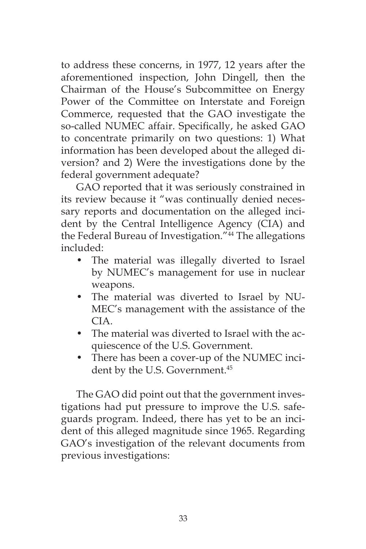to address these concerns, in 1977, 12 years after the aforementioned inspection, John Dingell, then the Chairman of the House's Subcommittee on Energy Power of the Committee on Interstate and Foreign Commerce, requested that the GAO investigate the so-called NUMEC affair. Specifically, he asked GAO to concentrate primarily on two questions: 1) What information has been developed about the alleged diversion? and 2) Were the investigations done by the federal government adequate?

GAO reported that it was seriously constrained in its review because it "was continually denied necessary reports and documentation on the alleged incident by the Central Intelligence Agency (CIA) and the Federal Bureau of Investigation."<sup>44</sup> The allegations included:

- The material was illegally diverted to Israel by NUMEC's management for use in nuclear weapons.
- The material was diverted to Israel by NU-MEC's management with the assistance of the CIA.
- The material was diverted to Israel with the acquiescence of the U.S. Government.
- There has been a cover-up of the NUMEC incident by the U.S. Government.<sup>45</sup>

The GAO did point out that the government investigations had put pressure to improve the U.S. safeguards program. Indeed, there has yet to be an incident of this alleged magnitude since 1965. Regarding GAO's investigation of the relevant documents from previous investigations: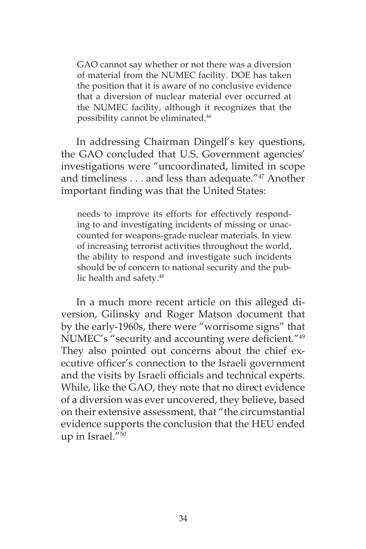GAO cannot say whether or not there was a diversion of material from the NUMEC facility. DOE has taken the position that it is aware of no conclusive evidence that a diversion of nuclear material ever occurred at the NUMEC facility, although it recognizes that the possibility cannot be eliminated.46

In addressing Chairman Dingell's key questions, the GAO concluded that U.S. Government agencies' investigations were "uncoordinated, limited in scope and timeliness . . . and less than adequate."47 Another important finding was that the United States:

needs to improve its efforts for effectively responding to and investigating incidents of missing or unaccounted for weapons-grade nuclear materials. In view of increasing terrorist activities throughout the world, the ability to respond and investigate such incidents should be of concern to national security and the public health and safety.<sup>48</sup>

In a much more recent article on this alleged diversion, Gilinsky and Roger Matson document that by the early-1960s, there were "worrisome signs" that NUMEC's "security and accounting were deficient."<sup>49</sup> They also pointed out concerns about the chief executive officer's connection to the Israeli government and the visits by Israeli officials and technical experts. While, like the GAO, they note that no direct evidence of a diversion was ever uncovered, they believe, based on their extensive assessment, that "the circumstantial evidence supports the conclusion that the HEU ended up in Israel."50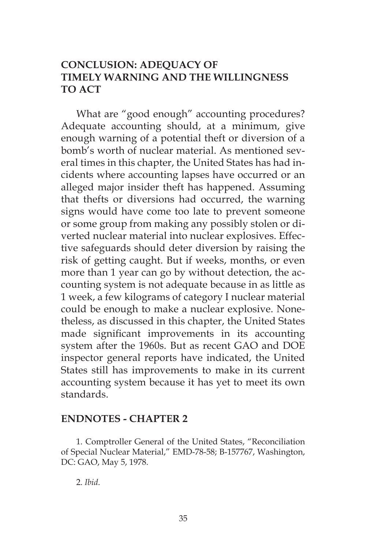# **CONCLUSION: ADEQUACY OF TIMELY WARNING AND THE WILLINGNESS TO ACT**

What are "good enough" accounting procedures? Adequate accounting should, at a minimum, give enough warning of a potential theft or diversion of a bomb's worth of nuclear material. As mentioned several times in this chapter, the United States has had incidents where accounting lapses have occurred or an alleged major insider theft has happened. Assuming that thefts or diversions had occurred, the warning signs would have come too late to prevent someone or some group from making any possibly stolen or diverted nuclear material into nuclear explosives. Effective safeguards should deter diversion by raising the risk of getting caught. But if weeks, months, or even more than 1 year can go by without detection, the accounting system is not adequate because in as little as 1 week, a few kilograms of category I nuclear material could be enough to make a nuclear explosive. Nonetheless, as discussed in this chapter, the United States made significant improvements in its accounting system after the 1960s. But as recent GAO and DOE inspector general reports have indicated, the United States still has improvements to make in its current accounting system because it has yet to meet its own standards.

#### **ENDNOTES - CHAPTER 2**

1. Comptroller General of the United States, "Reconciliation of Special Nuclear Material," EMD-78-58; B-157767, Washington, DC: GAO, May 5, 1978.

2. *Ibid*.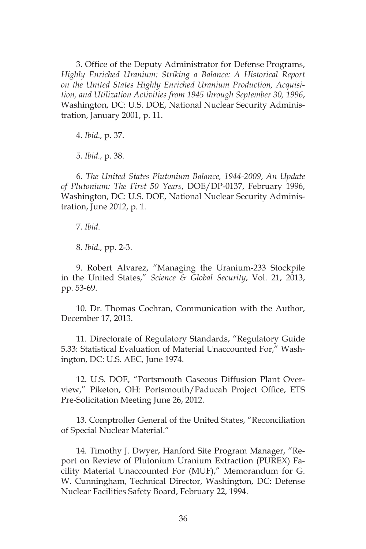3. Office of the Deputy Administrator for Defense Programs, *Highly Enriched Uranium: Striking a Balance: A Historical Report on the United States Highly Enriched Uranium Production, Acquisition, and Utilization Activities from 1945 through September 30, 1996*, Washington, DC: U.S. DOE, National Nuclear Security Administration, January 2001, p. 11.

4. *Ibid.,* p. 37.

5. *Ibid.,* p. 38.

6. *The United States Plutonium Balance, 1944-2009*, *An Update of Plutonium: The First 50 Years*, DOE/DP-0137, February 1996, Washington, DC: U.S. DOE, National Nuclear Security Administration, June 2012, p. 1.

7. *Ibid*.

8. *Ibid.,* pp. 2-3.

9. Robert Alvarez, "Managing the Uranium-233 Stockpile in the United States," *Science & Global Security*, Vol. 21, 2013, pp. 53-69.

10. Dr. Thomas Cochran, Communication with the Author, December 17, 2013.

11. Directorate of Regulatory Standards, "Regulatory Guide 5.33: Statistical Evaluation of Material Unaccounted For," Washington, DC: U.S. AEC, June 1974.

12. U.S. DOE, "Portsmouth Gaseous Diffusion Plant Overview," Piketon, OH: Portsmouth/Paducah Project Office, ETS Pre-Solicitation Meeting June 26, 2012.

13. Comptroller General of the United States, "Reconciliation of Special Nuclear Material."

14. Timothy J. Dwyer, Hanford Site Program Manager, "Report on Review of Plutonium Uranium Extraction (PUREX) Facility Material Unaccounted For (MUF)," Memorandum for G. W. Cunningham, Technical Director, Washington, DC: Defense Nuclear Facilities Safety Board, February 22, 1994.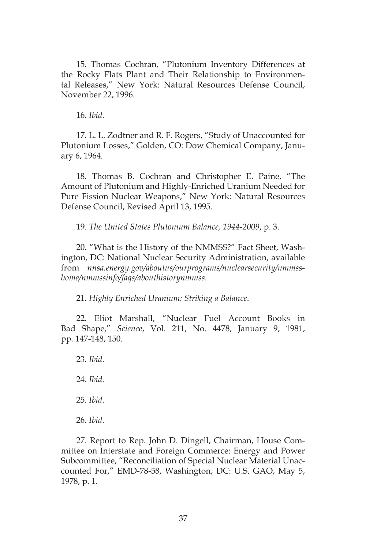15. Thomas Cochran, "Plutonium Inventory Differences at the Rocky Flats Plant and Their Relationship to Environmental Releases," New York: Natural Resources Defense Council, November 22, 1996.

16. *Ibid*.

17. L. L. Zodtner and R. F. Rogers, "Study of Unaccounted for Plutonium Losses," Golden, CO: Dow Chemical Company, January 6, 1964.

18. Thomas B. Cochran and Christopher E. Paine, "The Amount of Plutonium and Highly-Enriched Uranium Needed for Pure Fission Nuclear Weapons," New York: Natural Resources Defense Council, Revised April 13, 1995.

19. *The United States Plutonium Balance, 1944-2009*, p. 3.

20. "What is the History of the NMMSS?" Fact Sheet, Washington, DC: National Nuclear Security Administration, available from *nnsa.energy.gov/aboutus/ourprograms/nuclearsecurity/nmmsshome/nmmssinfo/faqs/abouthistorynmmss*.

21. *Highly Enriched Uranium: Striking a Balance*.

22. Eliot Marshall, "Nuclear Fuel Account Books in Bad Shape," *Science*, Vol. 211, No. 4478, January 9, 1981, pp. 147-148, 150.

23. *Ibid*. 24. *Ibid*. 25. *Ibid*. 26. *Ibid*.

27. Report to Rep. John D. Dingell, Chairman, House Committee on Interstate and Foreign Commerce: Energy and Power Subcommittee, "Reconciliation of Special Nuclear Material Unaccounted For," EMD-78-58, Washington, DC: U.S. GAO, May 5, 1978, p. 1.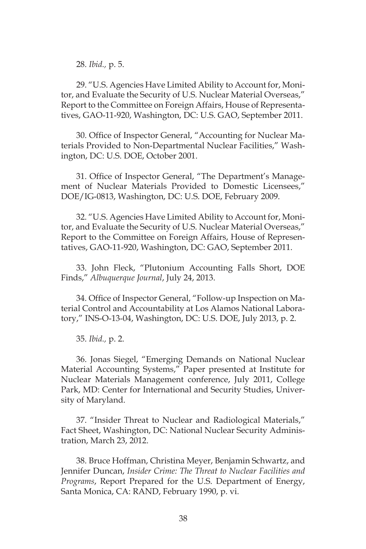28. *Ibid.,* p. 5.

29. "U.S. Agencies Have Limited Ability to Account for, Monitor, and Evaluate the Security of U.S. Nuclear Material Overseas," Report to the Committee on Foreign Affairs, House of Representatives, GAO-11-920, Washington, DC: U.S. GAO, September 2011.

30. Office of Inspector General, "Accounting for Nuclear Materials Provided to Non-Departmental Nuclear Facilities," Washington, DC: U.S. DOE, October 2001.

31. Office of Inspector General, "The Department's Management of Nuclear Materials Provided to Domestic Licensees," DOE/IG-0813, Washington, DC: U.S. DOE, February 2009.

32. "U.S. Agencies Have Limited Ability to Account for, Monitor, and Evaluate the Security of U.S. Nuclear Material Overseas," Report to the Committee on Foreign Affairs, House of Representatives, GAO-11-920, Washington, DC: GAO, September 2011.

33. John Fleck, "Plutonium Accounting Falls Short, DOE Finds," *Albuquerque Journal*, July 24, 2013.

34. Office of Inspector General, "Follow-up Inspection on Material Control and Accountability at Los Alamos National Laboratory," INS-O-13-04, Washington, DC: U.S. DOE, July 2013, p. 2.

35. *Ibid.,* p. 2.

36. Jonas Siegel, "Emerging Demands on National Nuclear Material Accounting Systems," Paper presented at Institute for Nuclear Materials Management conference, July 2011, College Park, MD: Center for International and Security Studies, University of Maryland.

37. "Insider Threat to Nuclear and Radiological Materials," Fact Sheet, Washington, DC: National Nuclear Security Administration, March 23, 2012.

38. Bruce Hoffman, Christina Meyer, Benjamin Schwartz, and Jennifer Duncan, *Insider Crime: The Threat to Nuclear Facilities and Programs*, Report Prepared for the U.S. Department of Energy, Santa Monica, CA: RAND, February 1990, p. vi.